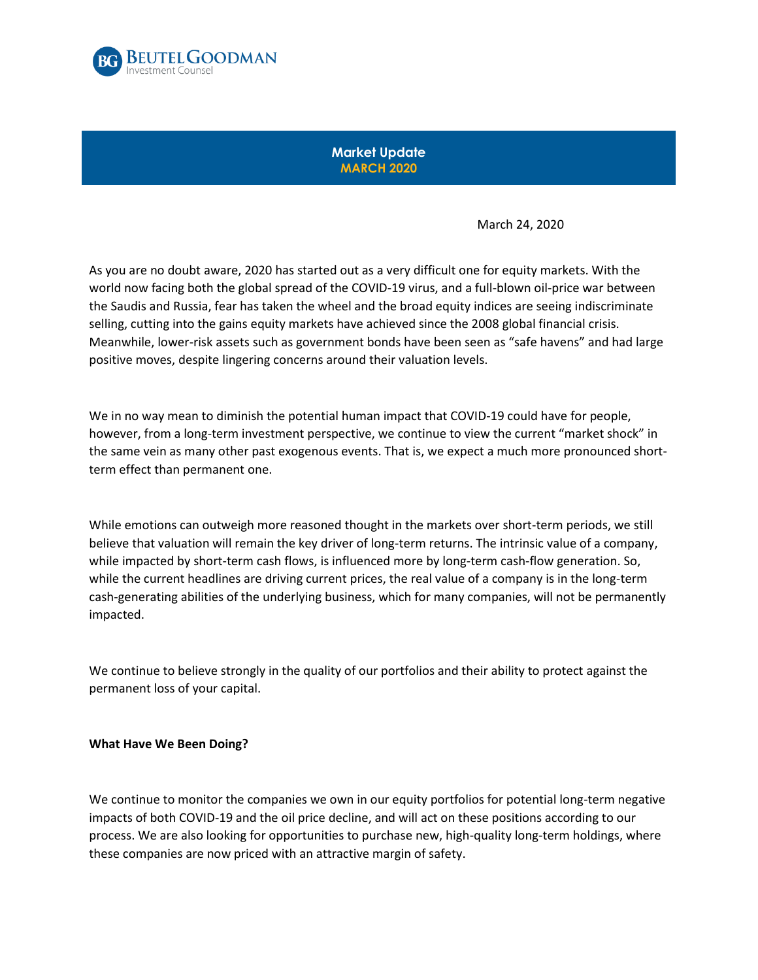

**Market Update MARCH 2020**

March 24, 2020

As you are no doubt aware, 2020 has started out as a very difficult one for equity markets. With the world now facing both the global spread of the COVID-19 virus, and a full-blown oil-price war between the Saudis and Russia, fear has taken the wheel and the broad equity indices are seeing indiscriminate selling, cutting into the gains equity markets have achieved since the 2008 global financial crisis. Meanwhile, lower-risk assets such as government bonds have been seen as "safe havens" and had large positive moves, despite lingering concerns around their valuation levels.

We in no way mean to diminish the potential human impact that COVID-19 could have for people, however, from a long-term investment perspective, we continue to view the current "market shock" in the same vein as many other past exogenous events. That is, we expect a much more pronounced shortterm effect than permanent one.

While emotions can outweigh more reasoned thought in the markets over short-term periods, we still believe that valuation will remain the key driver of long-term returns. The intrinsic value of a company, while impacted by short-term cash flows, is influenced more by long-term cash-flow generation. So, while the current headlines are driving current prices, the real value of a company is in the long-term cash-generating abilities of the underlying business, which for many companies, will not be permanently impacted.

We continue to believe strongly in the quality of our portfolios and their ability to protect against the permanent loss of your capital.

## **What Have We Been Doing?**

We continue to monitor the companies we own in our equity portfolios for potential long-term negative impacts of both COVID-19 and the oil price decline, and will act on these positions according to our process. We are also looking for opportunities to purchase new, high-quality long-term holdings, where these companies are now priced with an attractive margin of safety.